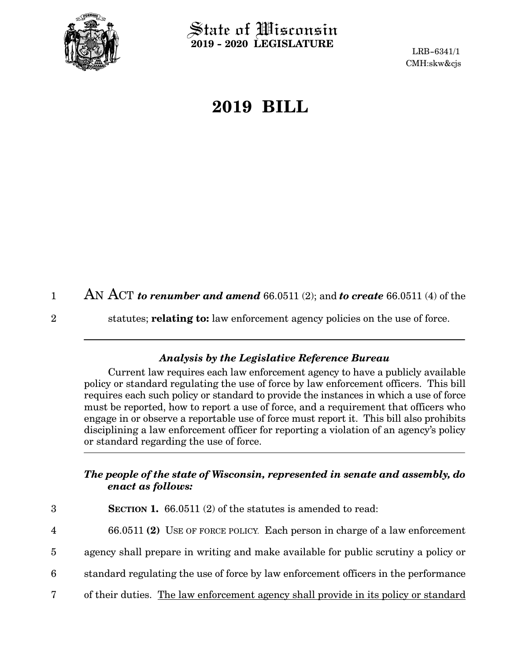

 $\operatorname{\mathsf{State}}$  of Wisconsin **2019 - 2020 LEGISLATURE**

LRB-6341/1 CMH:skw&cjs

## **2019 BILL**

AN ACT *to renumber and amend* 66.0511 (2); and *to create* 66.0511 (4) of the 1

2

statutes; **relating to:** law enforcement agency policies on the use of force.

## *Analysis by the Legislative Reference Bureau*

Current law requires each law enforcement agency to have a publicly available policy or standard regulating the use of force by law enforcement officers. This bill requires each such policy or standard to provide the instances in which a use of force must be reported, how to report a use of force, and a requirement that officers who engage in or observe a reportable use of force must report it. This bill also prohibits disciplining a law enforcement officer for reporting a violation of an agency's policy or standard regarding the use of force.

## *The people of the state of Wisconsin, represented in senate and assembly, do enact as follows:*

**SECTION 1.** 66.0511 (2) of the statutes is amended to read: 66.0511 **(2)** USE OF FORCE POLICY. Each person in charge of a law enforcement agency shall prepare in writing and make available for public scrutiny a policy or standard regulating the use of force by law enforcement officers in the performance of their duties. The law enforcement agency shall provide in its policy or standard 3 4 5 6 7